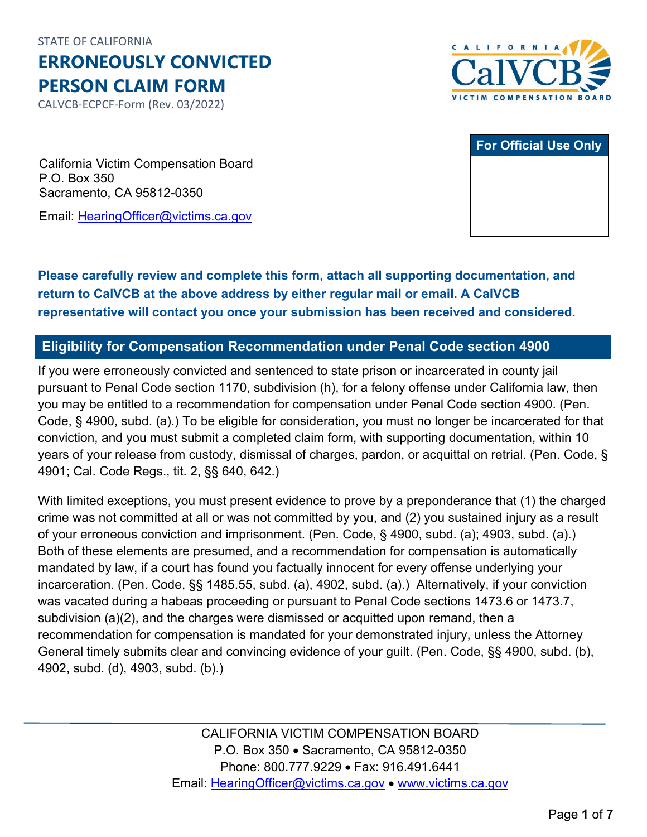STATE OF CALIFORNIA

**ERRONEOUSLY CONVICTED PERSON CLAIM FORM** 

CALVCB-ECPCF-Form (Rev. 03/2022)



|  |  | <b>For Official Use Only</b> |
|--|--|------------------------------|
|  |  |                              |
|  |  |                              |
|  |  |                              |
|  |  |                              |

California Victim Compensation Board P.O. Box 350 Sacramento, CA 95812-0350

Email: [HearingOfficer@victims.ca.gov](mailto:HearingOfficer@victims.ca.gov) 

# **Please carefully review and complete this form, attach all supporting documentation, and return to CalVCB at the above address by either regular mail or email. A CalVCB representative will contact you once your submission has been received and considered.**

#### **Eligibility for Compensation Recommendation under Penal Code section 4900**

 Code, § 4900, subd. (a).) To be eligible for consideration, you must no longer be incarcerated for that years of your release from custody, dismissal of charges, pardon, or acquittal on retrial. (Pen. Code, § 4901; Cal. Code Regs., tit. 2, §§ 640, 642.) If you were erroneously convicted and sentenced to state prison or incarcerated in county jail pursuant to Penal Code section 1170, subdivision (h), for a felony offense under California law, then you may be entitled to a recommendation for compensation under Penal Code section 4900. (Pen. conviction, and you must submit a completed claim form, with supporting documentation, within 10

 crime was not committed at all or was not committed by you, and (2) you sustained injury as a result of your erroneous conviction and imprisonment. (Pen. Code, § 4900, subd. (a); 4903, subd. (a).) incarceration. (Pen. Code, §§ 1485.55, subd. (a), 4902, subd. (a).) Alternatively, if your conviction was vacated during a habeas proceeding or pursuant to Penal Code sections 1473.6 or 1473.7, 4902, subd. (d), 4903, subd. (b).) With limited exceptions, you must present evidence to prove by a preponderance that (1) the charged Both of these elements are presumed, and a recommendation for compensation is automatically mandated by law, if a court has found you factually innocent for every offense underlying your subdivision (a)(2), and the charges were dismissed or acquitted upon remand, then a recommendation for compensation is mandated for your demonstrated injury, unless the Attorney General timely submits clear and convincing evidence of your guilt. (Pen. Code, §§ 4900, subd. (b),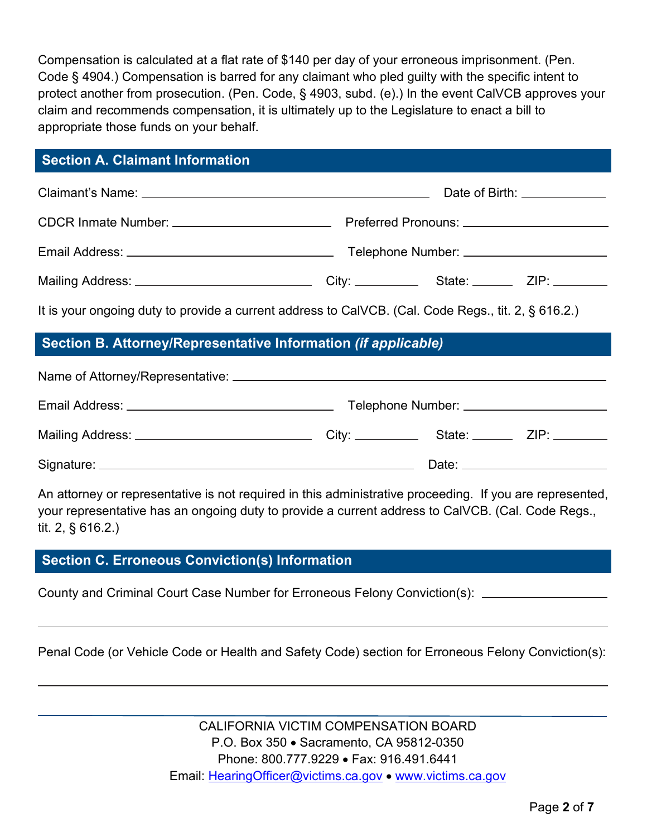Compensation is calculated at a flat rate of \$140 per day of your erroneous imprisonment. (Pen. Code § 4904.) Compensation is barred for any claimant who pled guilty with the specific intent to protect another from prosecution. (Pen. Code, § 4903, subd. (e).) In the event CalVCB approves your claim and recommends compensation, it is ultimately up to the Legislature to enact a bill to appropriate those funds on your behalf.

### **Section A. Claimant Information**

| Mailing Address: _________________________________City: ______________State: __________ZIP: ________ |  |  |  |  |
|------------------------------------------------------------------------------------------------------|--|--|--|--|
| It is your ongoing duty to provide a current address to CalVCB. (Cal. Code Regs., tit. 2, § 616.2.)  |  |  |  |  |
| Section B. Attorney/Representative Information (if applicable)                                       |  |  |  |  |
|                                                                                                      |  |  |  |  |
|                                                                                                      |  |  |  |  |

| Mailing Address: ______ | City: | State: ___ | ZIP: |
|-------------------------|-------|------------|------|
| Signature: _            |       | Date:      |      |

An attorney or representative is not required in this administrative proceeding. If you are represented, your representative has an ongoing duty to provide a current address to CalVCB. (Cal. Code Regs., tit. 2, § 616.2.)

## **Section C. Erroneous Conviction(s) Information**

County and Criminal Court Case Number for Erroneous Felony Conviction(s):

Penal Code (or Vehicle Code or Health and Safety Code) section for Erroneous Felony Conviction(s):

 P.O. Box 350 • Sacramento, CA 95812-0350 Email: [HearingOfficer@victims.ca.gov](mailto:HearingOfficer@victims.ca.gov) • www.victims.ca.gov CALIFORNIA VICTIM COMPENSATION BOARD Phone: 800.777.9229 • Fax: 916.491.6441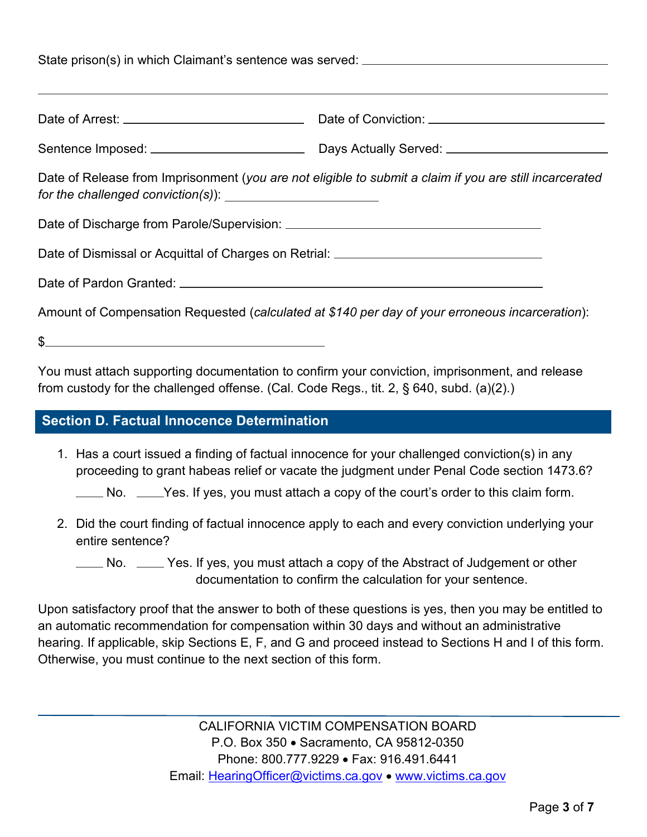|                                                                                  | Date of Release from Imprisonment (you are not eligible to submit a claim if you are still incarcerated |  |  |  |
|----------------------------------------------------------------------------------|---------------------------------------------------------------------------------------------------------|--|--|--|
|                                                                                  |                                                                                                         |  |  |  |
| Date of Dismissal or Acquittal of Charges on Retrial: __________________________ |                                                                                                         |  |  |  |
|                                                                                  |                                                                                                         |  |  |  |
|                                                                                  | Amount of Compensation Requested (calculated at \$140 per day of your erroneous incarceration):         |  |  |  |
| $\frac{1}{2}$                                                                    |                                                                                                         |  |  |  |

You must attach supporting documentation to confirm your conviction, imprisonment, and release from custody for the challenged offense. (Cal. Code Regs., tit. 2, § 640, subd. (a)(2).)

#### **Section D. Factual Innocence Determination**

1. Has a court issued a finding of factual innocence for your challenged conviction(s) in any proceeding to grant habeas relief or vacate the judgment under Penal Code section 1473.6?

No. \_\_\_\_Yes. If yes, you must attach a copy of the court's order to this claim form.

2. Did the court finding of factual innocence apply to each and every conviction underlying your entire sentence?

No. \_\_\_\_ Yes. If yes, you must attach a copy of the Abstract of Judgement or other documentation to confirm the calculation for your sentence.

Upon satisfactory proof that the answer to both of these questions is yes, then you may be entitled to an automatic recommendation for compensation within 30 days and without an administrative hearing. If applicable, skip Sections E, F, and G and proceed instead to Sections H and I of this form. Otherwise, you must continue to the next section of this form.

> CALIFORNIA VICTIM COMPENSATION BOARD P.O. Box 350 • Sacramento, CA 95812-0350 Phone: 800.777.9229 • Fax: 916.491.6441 Email: [HearingOfficer@victims.ca.gov](mailto:HearingOfficer@victims.ca.gov) • [www.victims.ca.gov](http://www.victims.ca.gov/)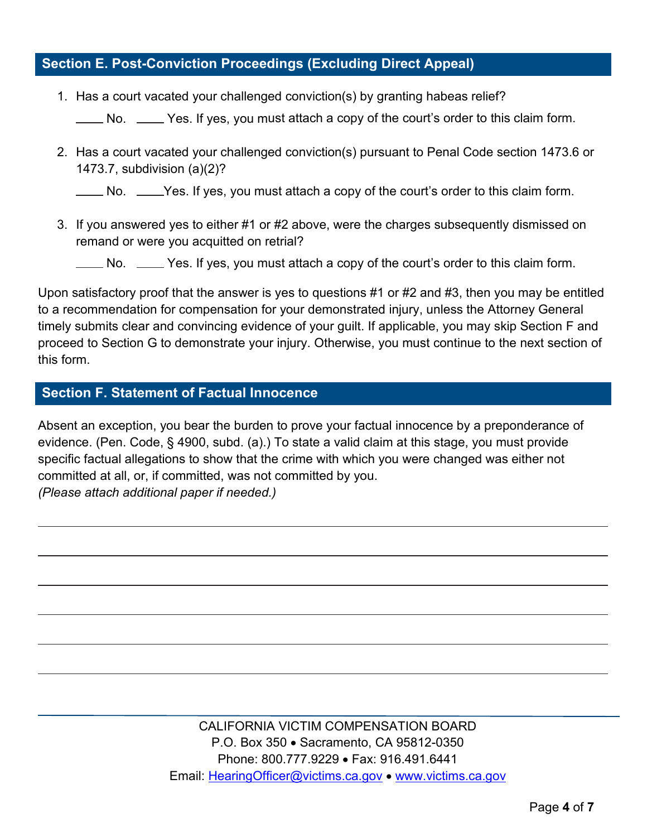### **Section E. Post-Conviction Proceedings (Excluding Direct Appeal)**

1. Has a court vacated your challenged conviction(s) by granting habeas relief?

No. \_\_\_\_ Yes. If yes, you must attach a copy of the court's order to this claim form.

2. Has a court vacated your challenged conviction(s) pursuant to Penal Code section 1473.6 or 1473.7, subdivision (a)(2)?

No. \_\_\_\_Yes. If yes, you must attach a copy of the court's order to this claim form.

3. If you answered yes to either #1 or #2 above, were the charges subsequently dismissed on remand or were you acquitted on retrial?

No. \_\_\_\_ Yes. If yes, you must attach a copy of the court's order to this claim form.

 Upon satisfactory proof that the answer is yes to questions #1 or #2 and #3, then you may be entitled to a recommendation for compensation for your demonstrated injury, unless the Attorney General timely submits clear and convincing evidence of your guilt. If applicable, you may skip Section F and proceed to Section G to demonstrate your injury. Otherwise, you must continue to the next section of this form.

#### **Section F. Statement of Factual Innocence**

 specific factual allegations to show that the crime with which you were changed was either not committed at all, or, if committed, was not committed by you. Absent an exception, you bear the burden to prove your factual innocence by a preponderance of evidence. (Pen. Code, § 4900, subd. (a).) To state a valid claim at this stage, you must provide *(Please attach additional paper if needed.)* 

> Email: [HearingOfficer@victims.ca.gov](mailto:HearingOfficer@victims.ca.gov) • www.victims.ca.gov CALIFORNIA VICTIM COMPENSATION BOARD P.O. Box 350 • Sacramento, CA 95812-0350 Phone: 800.777.9229 • Fax: 916.491.6441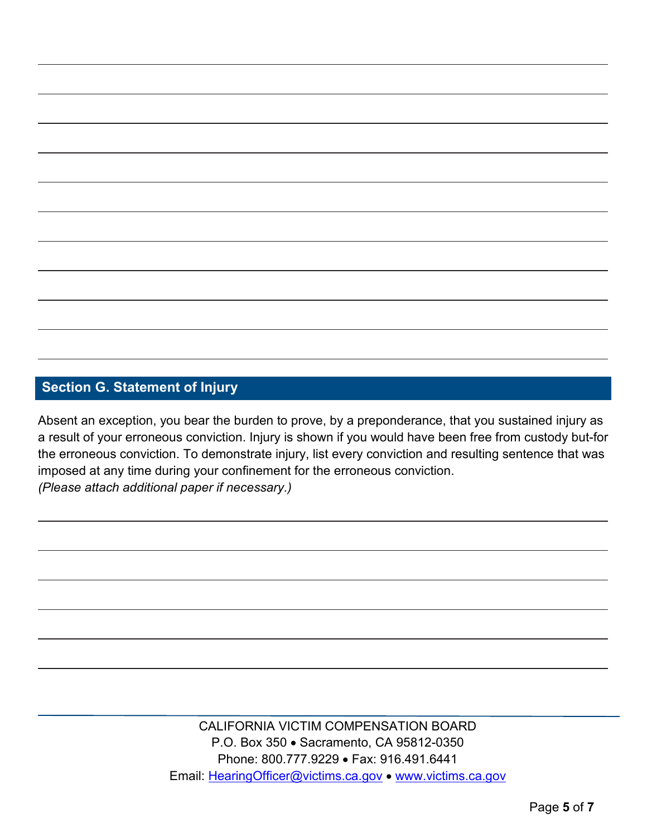# **Section G. Statement of Injury**

 Absent an exception, you bear the burden to prove, by a preponderance, that you sustained injury as a result of your erroneous conviction. Injury is shown if you would have been free from custody but-for the erroneous conviction. To demonstrate injury, list every conviction and resulting sentence that was imposed at any time during your confinement for the erroneous conviction. *(Please attach additional paper if necessary.)* 

> P.O. Box 350 • Sacramento, CA 95812-0350 Email: [HearingOfficer@victims.ca.gov](mailto:HearingOfficer@victims.ca.gov) • www.victims.ca.gov CALIFORNIA VICTIM COMPENSATION BOARD Phone: 800.777.9229 • Fax: 916.491.6441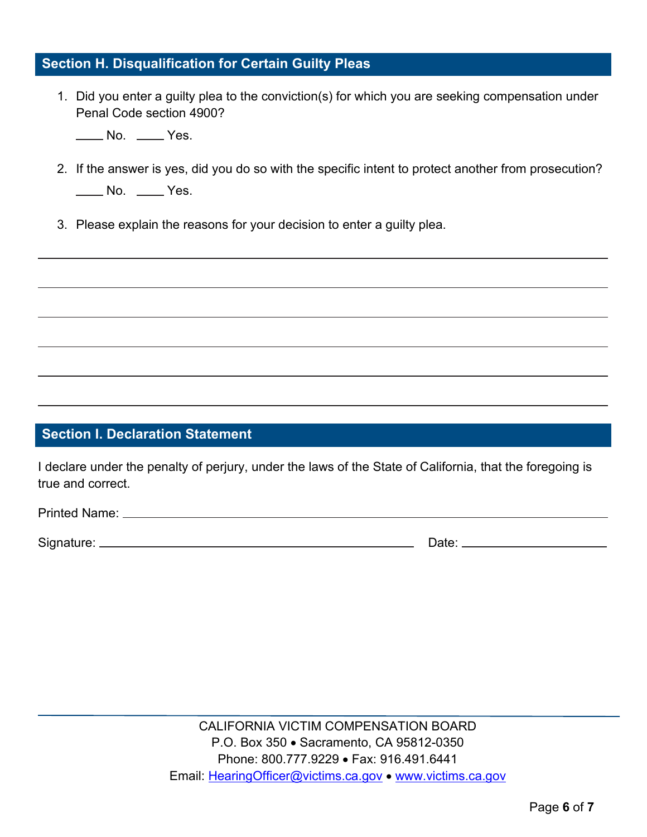### **Section H. Disqualification for Certain Guilty Pleas**

1. Did you enter a guilty plea to the conviction(s) for which you are seeking compensation under Penal Code section 4900?

No. \_\_\_\_ Yes.

- No. <u>\_</u>\_\_\_ Yes. 2. If the answer is yes, did you do so with the specific intent to protect another from prosecution?
- 3. Please explain the reasons for your decision to enter a guilty plea.

### **Section I. Declaration Statement**

I declare under the penalty of perjury, under the laws of the State of California, that the foregoing is true and correct.

| <b>Printed Name:</b> |  |
|----------------------|--|
|                      |  |

Signature: Date: